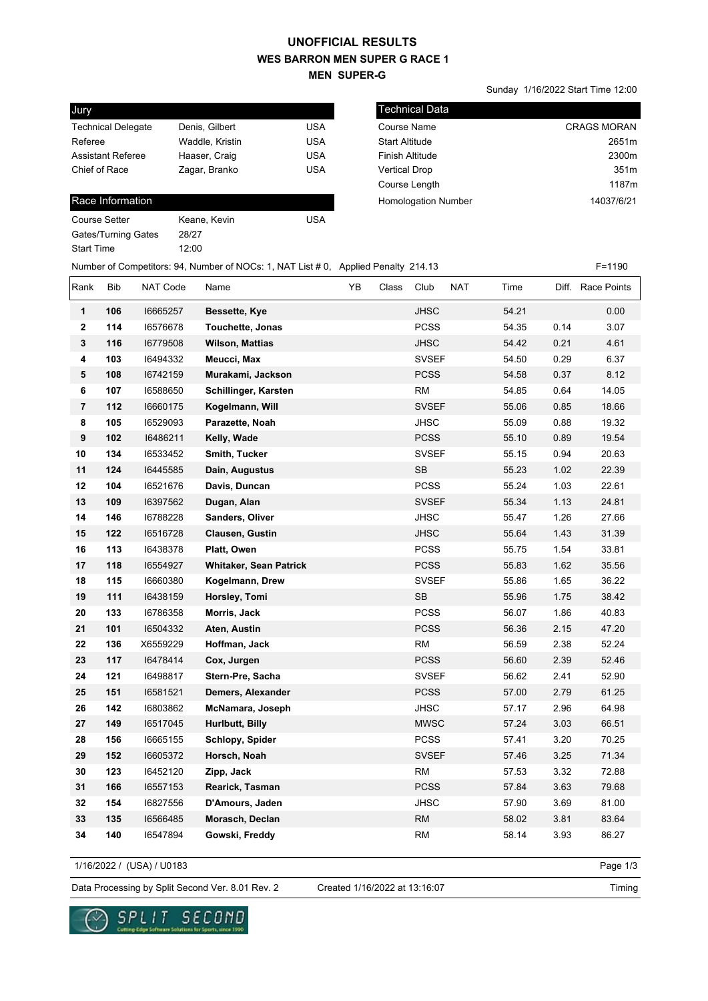### **WES BARRON MEN SUPER G RACE 1 MEN SUPER-G UNOFFICIAL RESULTS**

Jury Technical Delegate Denis, Gilbert USA Referee Waddle, Kristin USA Assistant Referee Haaser, Craig Cassistant Referee Haaser, Craig Chief of Race Zagar, Branko USA

#### Race Information

Course Setter Keane, Kevin News USA Gates/Turning Gates 28/27 Start Time 12:00

| <b>Technical Data</b> |                    |
|-----------------------|--------------------|
| Course Name           | <b>CRAGS MORAN</b> |
| <b>Start Altitude</b> | 2651m              |
| Finish Altitude       | 2300m              |
| Vertical Drop         | 351 <sub>m</sub>   |
| Course Length         | 1187m              |
| Homologation Number   | 14037/6/21         |

Sunday 1/16/2022 Start Time 12:00

| Number of Competitors: 94, Number of NOCs: 1, NAT List # 0, Applied Penalty 214.13 |  | $F = 1190$ |
|------------------------------------------------------------------------------------|--|------------|
|------------------------------------------------------------------------------------|--|------------|

| Rank                    | <b>Bib</b> | <b>NAT Code</b> | Name                          | YB | Class | Club         | NAT | Time  | Diff. | <b>Race Points</b> |
|-------------------------|------------|-----------------|-------------------------------|----|-------|--------------|-----|-------|-------|--------------------|
| 1                       | 106        | 16665257        | Bessette, Kye                 |    |       | <b>JHSC</b>  |     | 54.21 |       | 0.00               |
| $\overline{\mathbf{2}}$ | 114        | 16576678        | Touchette, Jonas              |    |       | <b>PCSS</b>  |     | 54.35 | 0.14  | 3.07               |
| $\mathbf 3$             | 116        | 16779508        | <b>Wilson, Mattias</b>        |    |       | <b>JHSC</b>  |     | 54.42 | 0.21  | 4.61               |
| $\pmb{4}$               | 103        | 16494332        | Meucci, Max                   |    |       | <b>SVSEF</b> |     | 54.50 | 0.29  | 6.37               |
| ${\bf 5}$               | 108        | 16742159        | Murakami, Jackson             |    |       | <b>PCSS</b>  |     | 54.58 | 0.37  | 8.12               |
| 6                       | 107        | 16588650        | Schillinger, Karsten          |    |       | <b>RM</b>    |     | 54.85 | 0.64  | 14.05              |
| $\overline{7}$          | 112        | 16660175        | Kogelmann, Will               |    |       | <b>SVSEF</b> |     | 55.06 | 0.85  | 18.66              |
| 8                       | 105        | 16529093        | Parazette, Noah               |    |       | <b>JHSC</b>  |     | 55.09 | 0.88  | 19.32              |
| 9                       | 102        | 16486211        | Kelly, Wade                   |    |       | <b>PCSS</b>  |     | 55.10 | 0.89  | 19.54              |
| 10                      | 134        | 16533452        | Smith, Tucker                 |    |       | <b>SVSEF</b> |     | 55.15 | 0.94  | 20.63              |
| 11                      | 124        | 16445585        | Dain, Augustus                |    |       | <b>SB</b>    |     | 55.23 | 1.02  | 22.39              |
| 12                      | 104        | 16521676        | Davis, Duncan                 |    |       | <b>PCSS</b>  |     | 55.24 | 1.03  | 22.61              |
| 13                      | 109        | 16397562        | Dugan, Alan                   |    |       | <b>SVSEF</b> |     | 55.34 | 1.13  | 24.81              |
| 14                      | 146        | 16788228        | Sanders, Oliver               |    |       | <b>JHSC</b>  |     | 55.47 | 1.26  | 27.66              |
| 15                      | 122        | 16516728        | <b>Clausen, Gustin</b>        |    |       | <b>JHSC</b>  |     | 55.64 | 1.43  | 31.39              |
| 16                      | 113        | 16438378        | Platt, Owen                   |    |       | <b>PCSS</b>  |     | 55.75 | 1.54  | 33.81              |
| 17                      | 118        | 16554927        | <b>Whitaker, Sean Patrick</b> |    |       | <b>PCSS</b>  |     | 55.83 | 1.62  | 35.56              |
| 18                      | 115        | 16660380        | Kogelmann, Drew               |    |       | <b>SVSEF</b> |     | 55.86 | 1.65  | 36.22              |
| 19                      | 111        | 16438159        | Horsley, Tomi                 |    |       | <b>SB</b>    |     | 55.96 | 1.75  | 38.42              |
| 20                      | 133        | 16786358        | Morris, Jack                  |    |       | <b>PCSS</b>  |     | 56.07 | 1.86  | 40.83              |
| 21                      | 101        | 16504332        | Aten, Austin                  |    |       | <b>PCSS</b>  |     | 56.36 | 2.15  | 47.20              |
| 22                      | 136        | X6559229        | Hoffman, Jack                 |    |       | <b>RM</b>    |     | 56.59 | 2.38  | 52.24              |
| 23                      | 117        | 16478414        | Cox, Jurgen                   |    |       | <b>PCSS</b>  |     | 56.60 | 2.39  | 52.46              |
| 24                      | 121        | 16498817        | Stern-Pre, Sacha              |    |       | <b>SVSEF</b> |     | 56.62 | 2.41  | 52.90              |
| 25                      | 151        | 16581521        | Demers, Alexander             |    |       | <b>PCSS</b>  |     | 57.00 | 2.79  | 61.25              |
| 26                      | 142        | 16803862        | McNamara, Joseph              |    |       | <b>JHSC</b>  |     | 57.17 | 2.96  | 64.98              |
| 27                      | 149        | 16517045        | Hurlbutt, Billy               |    |       | <b>MWSC</b>  |     | 57.24 | 3.03  | 66.51              |
| 28                      | 156        | 16665155        | Schlopy, Spider               |    |       | <b>PCSS</b>  |     | 57.41 | 3.20  | 70.25              |
| 29                      | 152        | 16605372        | Horsch, Noah                  |    |       | <b>SVSEF</b> |     | 57.46 | 3.25  | 71.34              |
| 30                      | 123        | 16452120        | Zipp, Jack                    |    |       | <b>RM</b>    |     | 57.53 | 3.32  | 72.88              |
| 31                      | 166        | 16557153        | Rearick, Tasman               |    |       | <b>PCSS</b>  |     | 57.84 | 3.63  | 79.68              |
| 32                      | 154        | 16827556        | D'Amours, Jaden               |    |       | <b>JHSC</b>  |     | 57.90 | 3.69  | 81.00              |
| 33                      | 135        | 16566485        | Morasch, Declan               |    |       | <b>RM</b>    |     | 58.02 | 3.81  | 83.64              |
| 34                      | 140        | 16547894        | Gowski, Freddy                |    |       | RM           |     | 58.14 | 3.93  | 86.27              |

1/16/2022 / (USA) / U0183

Page 1/3

Data Processing by Split Second Ver. 8.01 Rev. 2 Created 1/16/2022 at 13:16:07

Created 1/16/2022 at 13:16:07

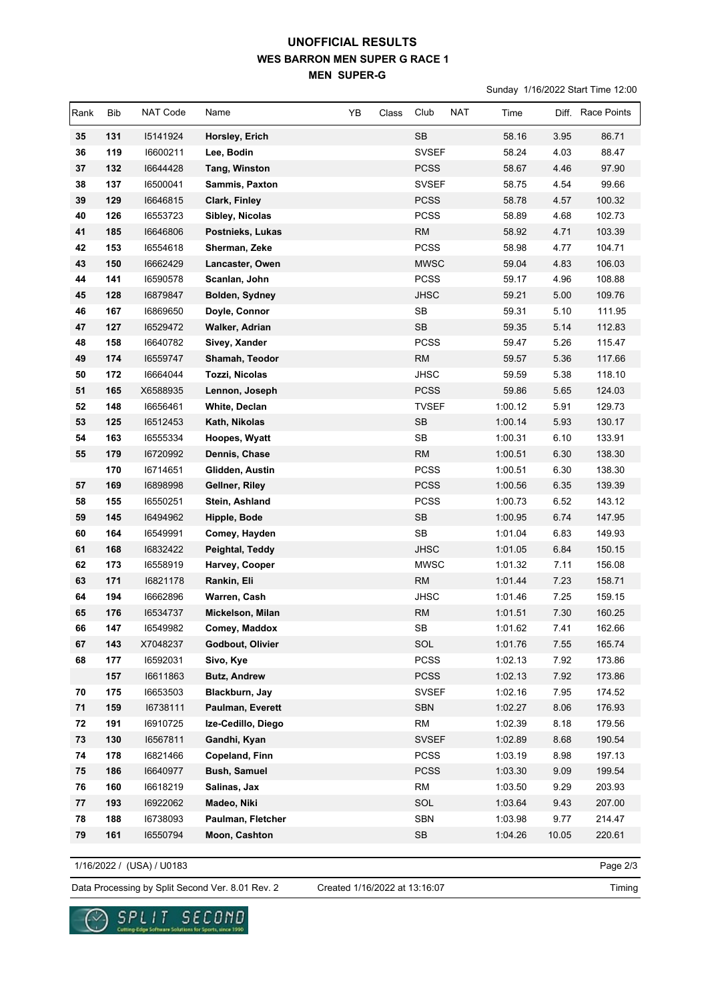# **WES BARRON MEN SUPER G RACE 1 MEN SUPER-G UNOFFICIAL RESULTS**

Sunday 1/16/2022 Start Time 12:00

| Rank | Bib | <b>NAT Code</b> | Name                | YB | Class | Club         | <b>NAT</b> | Time    |       | Diff. Race Points |
|------|-----|-----------------|---------------------|----|-------|--------------|------------|---------|-------|-------------------|
| 35   | 131 | 15141924        | Horsley, Erich      |    |       | <b>SB</b>    |            | 58.16   | 3.95  | 86.71             |
| 36   | 119 | 16600211        | Lee, Bodin          |    |       | <b>SVSEF</b> |            | 58.24   | 4.03  | 88.47             |
| 37   | 132 | 16644428        | Tang, Winston       |    |       | <b>PCSS</b>  |            | 58.67   | 4.46  | 97.90             |
| 38   | 137 | 16500041        | Sammis, Paxton      |    |       | <b>SVSEF</b> |            | 58.75   | 4.54  | 99.66             |
| 39   | 129 | 16646815        | Clark, Finley       |    |       | <b>PCSS</b>  |            | 58.78   | 4.57  | 100.32            |
| 40   | 126 | 16553723        | Sibley, Nicolas     |    |       | <b>PCSS</b>  |            | 58.89   | 4.68  | 102.73            |
| 41   | 185 | 16646806        | Postnieks, Lukas    |    |       | <b>RM</b>    |            | 58.92   | 4.71  | 103.39            |
| 42   | 153 | 16554618        | Sherman, Zeke       |    |       | <b>PCSS</b>  |            | 58.98   | 4.77  | 104.71            |
| 43   | 150 | 16662429        | Lancaster, Owen     |    |       | <b>MWSC</b>  |            | 59.04   | 4.83  | 106.03            |
| 44   | 141 | 16590578        | Scanlan, John       |    |       | <b>PCSS</b>  |            | 59.17   | 4.96  | 108.88            |
| 45   | 128 | 16879847        | Bolden, Sydney      |    |       | <b>JHSC</b>  |            | 59.21   | 5.00  | 109.76            |
| 46   | 167 | 16869650        | Doyle, Connor       |    |       | SB           |            | 59.31   | 5.10  | 111.95            |
| 47   | 127 | 16529472        | Walker, Adrian      |    |       | <b>SB</b>    |            | 59.35   | 5.14  | 112.83            |
| 48   | 158 | 16640782        | Sivey, Xander       |    |       | <b>PCSS</b>  |            | 59.47   | 5.26  | 115.47            |
| 49   | 174 | 16559747        | Shamah, Teodor      |    |       | <b>RM</b>    |            | 59.57   | 5.36  | 117.66            |
| 50   | 172 | 16664044        | Tozzi, Nicolas      |    |       | <b>JHSC</b>  |            | 59.59   | 5.38  | 118.10            |
| 51   | 165 | X6588935        | Lennon, Joseph      |    |       | <b>PCSS</b>  |            | 59.86   | 5.65  | 124.03            |
| 52   | 148 | 16656461        | White, Declan       |    |       | <b>TVSEF</b> |            | 1:00.12 | 5.91  | 129.73            |
| 53   | 125 | 16512453        | Kath, Nikolas       |    |       | SB           |            | 1:00.14 | 5.93  | 130.17            |
| 54   | 163 | 16555334        | Hoopes, Wyatt       |    |       | SB           |            | 1:00.31 | 6.10  | 133.91            |
| 55   | 179 | 16720992        | Dennis, Chase       |    |       | <b>RM</b>    |            | 1:00.51 | 6.30  | 138.30            |
|      | 170 | 16714651        | Glidden, Austin     |    |       | <b>PCSS</b>  |            | 1:00.51 | 6.30  | 138.30            |
| 57   | 169 | 16898998        | Gellner, Riley      |    |       | <b>PCSS</b>  |            | 1:00.56 | 6.35  | 139.39            |
| 58   | 155 | 16550251        | Stein, Ashland      |    |       | <b>PCSS</b>  |            | 1:00.73 | 6.52  | 143.12            |
| 59   | 145 | 16494962        | Hipple, Bode        |    |       | SB           |            | 1:00.95 | 6.74  | 147.95            |
| 60   | 164 | 16549991        | Comey, Hayden       |    |       | SB           |            | 1:01.04 | 6.83  | 149.93            |
| 61   | 168 | 16832422        | Peightal, Teddy     |    |       | <b>JHSC</b>  |            | 1:01.05 | 6.84  | 150.15            |
| 62   | 173 | 16558919        | Harvey, Cooper      |    |       | <b>MWSC</b>  |            | 1:01.32 | 7.11  | 156.08            |
| 63   | 171 | 16821178        | Rankin, Eli         |    |       | <b>RM</b>    |            | 1:01.44 | 7.23  | 158.71            |
| 64   | 194 | 16662896        | Warren, Cash        |    |       | <b>JHSC</b>  |            | 1:01.46 | 7.25  | 159.15            |
| 65   | 176 | 16534737        | Mickelson, Milan    |    |       | <b>RM</b>    |            | 1:01.51 | 7.30  | 160.25            |
| 66   | 147 | 16549982        | Comey, Maddox       |    |       | SB           |            | 1:01.62 | 7.41  | 162.66            |
| 67   | 143 | X7048237        | Godbout, Olivier    |    |       | SOL          |            | 1:01.76 | 7.55  | 165.74            |
| 68   | 177 | 16592031        | Sivo, Kye           |    |       | <b>PCSS</b>  |            | 1:02.13 | 7.92  | 173.86            |
|      | 157 | 16611863        | <b>Butz, Andrew</b> |    |       | <b>PCSS</b>  |            | 1:02.13 | 7.92  | 173.86            |
| 70   | 175 | 16653503        | Blackburn, Jay      |    |       | <b>SVSEF</b> |            | 1:02.16 | 7.95  | 174.52            |
| 71   | 159 | 16738111        | Paulman, Everett    |    |       | SBN          |            | 1:02.27 | 8.06  | 176.93            |
| 72   | 191 | 16910725        | Ize-Cedillo, Diego  |    |       | <b>RM</b>    |            | 1:02.39 | 8.18  | 179.56            |
| 73   | 130 | 16567811        | Gandhi, Kyan        |    |       | <b>SVSEF</b> |            | 1:02.89 | 8.68  | 190.54            |
| 74   | 178 | 16821466        | Copeland, Finn      |    |       | <b>PCSS</b>  |            | 1:03.19 | 8.98  | 197.13            |
| 75   | 186 | 16640977        | <b>Bush, Samuel</b> |    |       | <b>PCSS</b>  |            | 1:03.30 | 9.09  | 199.54<br>203.93  |
| 76   | 160 | 16618219        | Salinas, Jax        |    |       | <b>RM</b>    |            | 1:03.50 | 9.29  |                   |
| 77   | 193 | 16922062        | Madeo, Niki         |    |       | SOL          |            | 1:03.64 | 9.43  | 207.00            |
| 78   | 188 | 16738093        | Paulman, Fletcher   |    |       | SBN          |            | 1:03.98 | 9.77  | 214.47            |
| 79   | 161 | 16550794        | Moon, Cashton       |    |       | SB           |            | 1:04.26 | 10.05 | 220.61            |

1/16/2022 / (USA) / U0183

Page 2/3

Data Processing by Split Second Ver. 8.01 Rev. 2 Created 1/16/2022 at 13:16:07

Created 1/16/2022 at 13:16:07